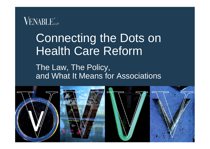# Connecting the Dots on Health Care Reform

The Law, The Policy, and What It Means for Associations

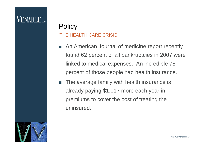#### **VENABLE**

#### THE HEALTH CARE CRISIS **Policy**

- An American Journal of medicine report recently found 62 percent of all bankruptcies in 2007 were linked to medical expenses. An incredible 78 percent of those people had health insurance.
- The average family with health insurance is already paying \$1,017 more each year in premiums to cover the cost of treating the uninsured.

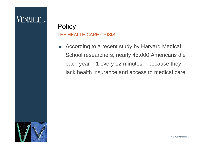#### VENABLE.

#### THE HEALTH CARE CRISIS **Policy**

■ According to a recent study by Harvard Medical School researchers, nearly 45,000 Americans die each year – 1 every 12 minutes – because they lack health insurance and access to medical care.



© 2013 Venable LLP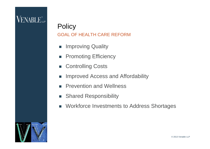#### GOAL OF HEALTH CARE REFORM **Policy**

- **Improving Quality**
- **Promoting Efficiency**
- Controlling Costs
- **IMPROVED Access and Affordability**
- **Prevention and Wellness**
- **BED Shared Responsibility**
- **Norkforce Investments to Address Shortages**

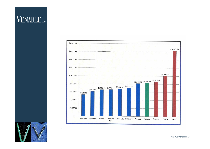



© 2013 Venable LLP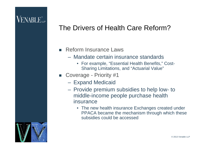#### **VENABLE**

#### The Drivers of Health Care Reform?

- **Reform Insurance Laws** 
	- Mandate certain insurance standards
		- For example, "Essential Health Benefits," Cost-Sharing Limitations, and "Actuarial Value"
- Coverage Priority #1
	- Expand Medicaid
	- Provide premium subsidies to help low- to middle-income people purchase health insurance
		- The new health insurance Exchanges created under PPACA became the mechanism through which these subsidies could be accessed

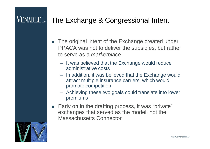#### $\rm VENABLE$ The Exchange & Congressional Intent

- The original intent of the Exchange created under PPACA was not to deliver the subsidies, but rather to serve as a *marketplace*
	- It was believed that the Exchange would reduce administrative costs
	- In addition, it was believed that the Exchange would attract multiple insurance carriers, which would promote competition
	- Achieving these two goals could translate into lower premiums
- Early on in the drafting process, it was "private" exchanges that served as the model, not the Massachusetts Connector

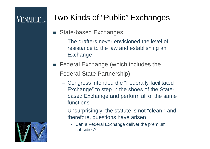### **VENABLE**

### Two Kinds of "Public" Exchanges

- State-based Exchanges
	- The drafters never envisioned the level of resistance to the law and establishing an Exchange
- Federal Exchange (which includes the Federal-State Partnership)
	- Congress intended the "Federally-facilitated Exchange" to step in the shoes of the Statebased Exchange and perform all of the same functions
	- Unsurprisingly, the statute is not "clean," and therefore, questions have arisen
		- Can a Federal Exchange deliver the premium subsidies?

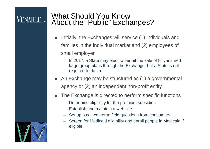#### What Should You Know About the "Public" Exchanges?

- Initially, the Exchanges will service (1) individuals and families in the individual market and (2) employees of small employer
	- In 2017, a State may elect to permit the sale of fully-insured large group plans through the Exchange, but a State is not required to do so
- An Exchange may be structured as (1) a governmental agency or (2) an independent non-profit entity
- **The Exchange is directed to perform specific functions** 
	- Determine eligibility for the premium subsidies
	- Establish and maintain a web site
	- Set up a call-center to field questions from consumers
	- Screen for Medicaid eligibility and enroll people in Medicaid if eligible

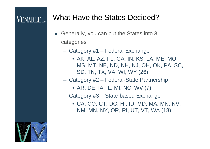### VENABLE...

#### What Have the States Decided?

- Generally, you can put the States into 3 categories
	- Category #1 Federal Exchange
		- AK, AL, AZ, FL, GA, IN, KS, LA, ME, MO, MS, MT, NE, ND, NH, NJ, OH, OK, PA, SC, SD, TN, TX, VA, WI, WY (26)
	- Category #2 Federal-State Partnership
		- AR, DE, IA, IL, MI, NC, WV (7)
	- Category #3 State-based Exchange
		- CA, CO, CT, DC, HI, ID, MD, MA, MN, NV, NM, MN, NY, OR, RI, UT, VT, WA (18)

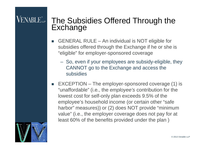#### The Subsidies Offered Through the **Exchange**

- GENERAL RULE An individual is NOT eligible for subsidies offered through the Exchange if he or she is "eligible" for employer-sponsored coverage
	- So, even if your employees are subsidy-eligible, they CANNOT go to the Exchange and access the subsidies
- EXCEPTION The employer-sponsored coverage (1) is "unaffordable" (i.e., the *employee's* contribution for the lowest cost for self-only plan exceeds 9.5% of the employee's household income (or certain other "safe harbor" measures)) or (2) does NOT provide "minimum value" (i.e., the employer coverage does not pay for at least 60% of the benefits provided under the plan )

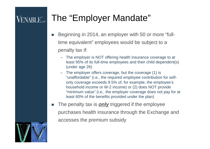#### The "Employer Mandate" **VENABLE**

- Beginning in 2014, an employer with 50 or more "fulltime equivalent" employees would be subject to a penalty tax if:
	- The employer is NOT offering health insurance coverage to at least 95% of its full-time employees and their child dependent(s) (under age 26)
	- The employer offers coverage, but the coverage (1) is "unaffordable" (i.e., the required *employee* contribution for selfonly coverage exceeds 9.5% of, for example, the employee's household income or W-2 income) or (2) does NOT provide "minimum value" (i.e., the employer coverage does not pay for at least 60% of the benefits provided under the plan)
- The penalty tax is *only* triggered if the employee purchases health insurance through the Exchange and accesses the premium subsidy

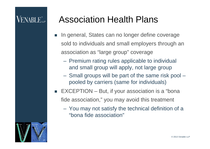### VENABLE"...

### Association Health Plans

- **In general, States can no longer define coverage** sold to individuals and small employers through an association as "large group" coverage
	- Premium rating rules applicable to individual and small group will apply, not large group
	- Small groups will be part of the same risk pool pooled by carriers (same for individuals)
- $\blacksquare$  EXCEPTION But, if your association is a "bona fide association," you may avoid this treatment
	- You may not satisfy the technical definition of a "bona fide association"

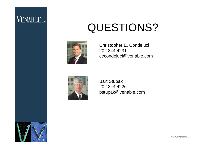# QUESTIONS?



Christopher E. Condeluci 202.344.4231 cecondeluci@venable.com



Bart Stupak 202.344.4226 bstupak@venable.com

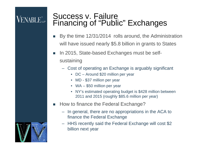#### Success v. Failure Financing of "Public" Exchanges

- By the time 12/31/2014 rolls around, the Administration will have issued nearly \$5.8 billion in grants to States
- In 2015, State-based Exchanges must be selfsustaining
	- Cost of operating an Exchange is arguably significant
		- DC Around \$20 million per year
		- MD \$37 million per year
		- WA \$50 million per year
		- NY's estimated operating budget is \$428 million between 2011 and 2015 (roughly \$85.6 million per year)
- How to finance the Federal Exchange?
	- In general, there are no appropriations in the ACA to finance the Federal Exchange
	- HHS recently said the Federal Exchange will cost \$2 billion next year

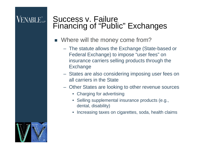16

#### Success v. Failure Financing of "Public" Exchanges

- Where will the money come from?
	- The statute allows the Exchange (State-based or Federal Exchange) to impose "user fees" on insurance carriers selling products through the Exchange
	- States are also considering imposing user fees on all carriers in the State
	- Other States are looking to other revenue sources
		- Charging for advertising
		- Selling supplemental insurance products (e.g., dental, disability)
		- Increasing taxes on cigarettes, soda, health claims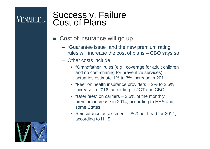#### Success v. Failure Cost of Plans

- Cost of insurance will go up
	- "Guarantee issue" and the new premium rating rules will increase the cost of plans – CBO says so
	- Other costs include:
		- "Grandfather" rules (e.g., coverage for adult children and no cost-sharing for preventive services) – actuaries estimate 1% to 3% increase in 2011
		- "Fee" on health insurance providers 2% to 2.5% increase in 2016, according to JCT and CBO
		- "User fees" on carriers 3.5% of the monthly premium increase in 2014, according to HHS and some States
		- Reinsurance assessment \$63 per head for 2014, according to HHS